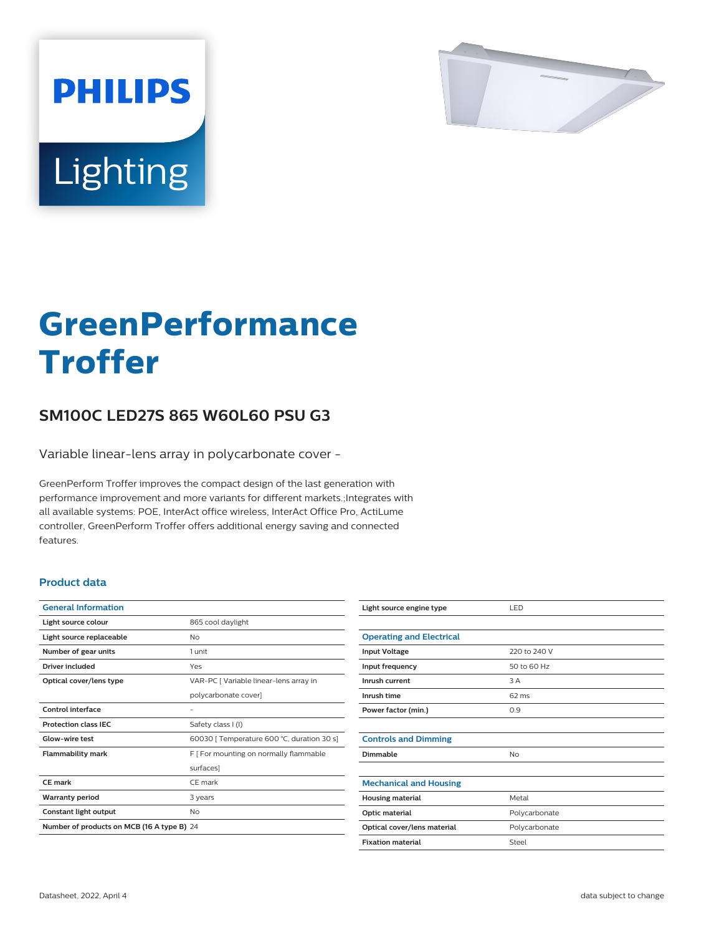

# Lighting

**PHILIPS** 

# **GreenPerformance Troffer**

## **SM100C LED27S 865 W60L60 PSU G3**

Variable linear-lens array in polycarbonate cover -

GreenPerform Troffer improves the compact design of the last generation with performance improvement and more variants for different markets.;Integrates with all available systems: POE, InterAct office wireless, InterAct Office Pro, ActiLume controller, GreenPerform Troffer offers additional energy saving and connected features.

#### **Product data**

| <b>General Information</b>                 |                                            |
|--------------------------------------------|--------------------------------------------|
| Light source colour                        | 865 cool daylight                          |
| Light source replaceable                   | Nο                                         |
| Number of gear units                       | 1 unit                                     |
| Driver included                            | Yes                                        |
| Optical cover/lens type                    | VAR-PC [ Variable linear-lens array in     |
|                                            | polycarbonate cover]                       |
| Control interface                          |                                            |
| <b>Protection class IEC</b>                | Safety class I (I)                         |
| Glow-wire test                             | 60030   Temperature 600 °C, duration 30 s] |
| <b>Flammability mark</b>                   | F   For mounting on normally flammable     |
|                                            | surfaces]                                  |
| CE mark                                    | CF mark                                    |
| <b>Warranty period</b>                     | 3 years                                    |
| Constant light output                      | No                                         |
| Number of products on MCB (16 A type B) 24 |                                            |

| Light source engine type        | LED           |
|---------------------------------|---------------|
|                                 |               |
| <b>Operating and Electrical</b> |               |
| <b>Input Voltage</b>            | 220 to 240 V  |
| Input frequency                 | 50 to 60 Hz   |
| Inrush current                  | 3 A           |
| Inrush time                     | 62 ms         |
| Power factor (min.)             | 0.9           |
|                                 |               |
| <b>Controls and Dimming</b>     |               |
| Dimmable                        | No            |
|                                 |               |
| <b>Mechanical and Housing</b>   |               |
| <b>Housing material</b>         | Metal         |
| <b>Optic material</b>           | Polycarbonate |
| Optical cover/lens material     | Polycarbonate |
| <b>Fixation material</b>        | Steel         |